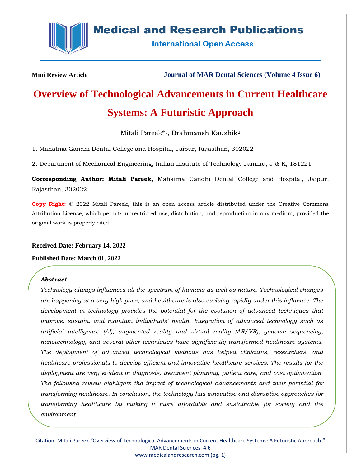

# **Medical and Research Publications**

**International Open Access** 

**Mini Review Article Journal of MAR Dental Sciences (Volume 4 Issue 6)**

# **Overview of Technological Advancements in Current Healthcare Systems: A Futuristic Approach**

Mitali Pareek\*1, Brahmansh Kaushik<sup>2</sup>

1. Mahatma Gandhi Dental College and Hospital, Jaipur, Rajasthan, 302022

2. Department of Mechanical Engineering, Indian Institute of Technology Jammu, J & K, 181221

**Corresponding Author: Mitali Pareek,** Mahatma Gandhi Dental College and Hospital, Jaipur, Rajasthan, 302022

**Copy Right:** © 2022 Mitali Pareek, this is an open access article distributed under the Creative Commons Attribution License, which permits unrestricted use, distribution, and reproduction in any medium, provided the original work is properly cited.

# **Received Date: February 14, 2022**

# **Published Date: March 01, 2022**

# *Abstract*

*Technology always influences all the spectrum of humans as well as nature. Technological changes are happening at a very high pace, and healthcare is also evolving rapidly under this influence. The development in technology provides the potential for the evolution of advanced techniques that improve, sustain, and maintain individuals' health. Integration of advanced technology such as artificial intelligence (AI), augmented reality and virtual reality (AR/VR), genome sequencing, nanotechnology, and several other techniques have significantly transformed healthcare systems. The deployment of advanced technological methods has helped clinicians, researchers, and healthcare professionals to develop efficient and innovative healthcare services. The results for the deployment are very evident in diagnosis, treatment planning, patient care, and cost optimization. The following review highlights the impact of technological advancements and their potential for transforming healthcare. In conclusion, the technology has innovative and disruptive approaches for transforming healthcare by making it more affordable and sustainable for society and the environment.*

Citation: Mitali Pareek "Overview of Technological Advancements in Current Healthcare Systems: A Futuristic Approach." MAR Dental Sciences 4.6 [www.medicalandresearch.com](http://www.medicalandresearch.com/) (pg. 1)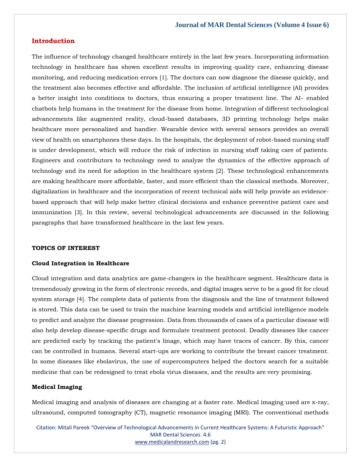#### **Introduction**

The influence of technology changed healthcare entirely in the last few years. Incorporating information technology in healthcare has shown excellent results in improving quality care, enhancing disease monitoring, and reducing medication errors [1]. The doctors can now diagnose the disease quickly, and the treatment also becomes effective and affordable. The inclusion of artificial intelligence (AI) provides a better insight into conditions to doctors, thus ensuring a proper treatment line. The AI- enabled chatbots help humans in the treatment for the disease from home. Integration of different technological advancements like augmented reality, cloud-based databases, 3D printing technology helps make healthcare more personalized and handier. Wearable device with several sensors provides an overall view of health on smartphones these days. In the hospitals, the deployment of robot-based nursing staff is under development, which will reduce the risk of infection in nursing staff taking care of patients. Engineers and contributors to technology need to analyze the dynamics of the effective approach of technology and its need for adoption in the healthcare system [2]. These technological enhancements are making healthcare more affordable, faster, and more efficient than the classical methods. Moreover, digitalization in healthcare and the incorporation of recent technical aids will help provide an evidencebased approach that will help make better clinical decisions and enhance preventive patient care and immunization [3]. In this review, several technological advancements are discussed in the following paragraphs that have transformed healthcare in the last few years.

#### **TOPICS OF INTEREST**

#### **Cloud Integration in Healthcare**

Cloud integration and data analytics are game-changers in the healthcare segment. Healthcare data is tremendously growing in the form of electronic records, and digital images serve to be a good fit for cloud system storage [4]. The complete data of patients from the diagnosis and the line of treatment followed is stored. This data can be used to train the machine learning models and artificial intelligence models to predict and analyze the disease progression. Data from thousands of cases of a particular disease will also help develop disease-specific drugs and formulate treatment protocol. Deadly diseases like cancer are predicted early by tracking the patient's linage, which may have traces of cancer. By this, cancer can be controlled in humans. Several start-ups are working to contribute the breast cancer treatment. In some diseases like ebolavirus, the use of supercomputers helped the doctors search for a suitable medicine that can be redesigned to treat ebola virus diseases, and the results are very promising.

#### **Medical Imaging**

Medical imaging and analysis of diseases are changing at a faster rate. Medical imaging used are x-ray, ultrasound, computed tomography (CT), magnetic resonance imaging (MRI). The conventional methods

Citation: Mitali Pareek "Overview of Technological Advancements in Current Healthcare Systems: A Futuristic Approach" MAR Dental Sciences 4.6 [www.medicalandresearch.com](http://www.medicalandresearch.com/) (pg. 2)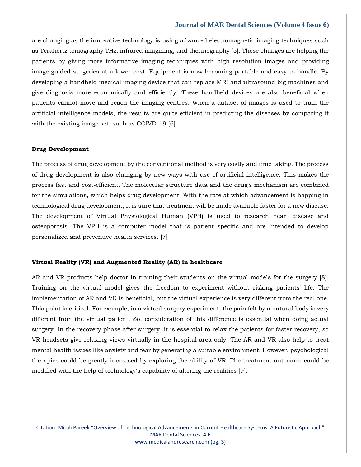#### **Journal of MAR Dental Sciences (Volume 4 Issue 6)**

are changing as the innovative technology is using advanced electromagnetic imaging techniques such as Terahertz tomography THz, infrared imagining, and thermography [5]. These changes are helping the patients by giving more informative imaging techniques with high resolution images and providing image-guided surgeries at a lower cost. Equipment is now becoming portable and easy to handle. By developing a handheld medical imaging device that can replace MRI and ultrasound big machines and give diagnosis more economically and efficiently. These handheld devices are also beneficial when patients cannot move and reach the imaging centres. When a dataset of images is used to train the artificial intelligence models, the results are quite efficient in predicting the diseases by comparing it with the existing image set, such as COIVD-19 [6].

#### **Drug Development**

The process of drug development by the conventional method is very costly and time taking. The process of drug development is also changing by new ways with use of artificial intelligence. This makes the process fast and cost-efficient. The molecular structure data and the drug's mechanism are combined for the simulations, which helps drug development. With the rate at which advancement is happing in technological drug development, it is sure that treatment will be made available faster for a new disease. The development of Virtual Physiological Human (VPH) is used to research heart disease and osteoporosis. The VPH is a computer model that is patient specific and are intended to develop personalized and preventive health services. [7]

#### **Virtual Reality (VR) and Augmented Reality (AR) in healthcare**

AR and VR products help doctor in training their students on the virtual models for the surgery [8]. Training on the virtual model gives the freedom to experiment without risking patients' life. The implementation of AR and VR is beneficial, but the virtual experience is very different from the real one. This point is critical. For example, in a virtual surgery experiment, the pain felt by a natural body is very different from the virtual patient. So, consideration of this difference is essential when doing actual surgery. In the recovery phase after surgery, it is essential to relax the patients for faster recovery, so VR headsets give relaxing views virtually in the hospital area only. The AR and VR also help to treat mental health issues like anxiety and fear by generating a suitable environment. However, psychological therapies could be greatly increased by exploring the ability of VR. The treatment outcomes could be modified with the help of technology's capability of altering the realities [9].

Citation: Mitali Pareek "Overview of Technological Advancements in Current Healthcare Systems: A Futuristic Approach" MAR Dental Sciences 4.6 [www.medicalandresearch.com](http://www.medicalandresearch.com/) (pg. 3)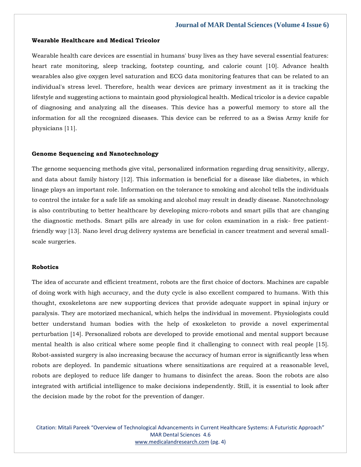#### **Wearable Healthcare and Medical Tricolor**

Wearable health care devices are essential in humans' busy lives as they have several essential features: heart rate monitoring, sleep tracking, footstep counting, and calorie count [10]. Advance health wearables also give oxygen level saturation and ECG data monitoring features that can be related to an individual's stress level. Therefore, health wear devices are primary investment as it is tracking the lifestyle and suggesting actions to maintain good physiological health. Medical tricolor is a device capable of diagnosing and analyzing all the diseases. This device has a powerful memory to store all the information for all the recognized diseases. This device can be referred to as a Swiss Army knife for physicians [11].

#### **Genome Sequencing and Nanotechnology**

The genome sequencing methods give vital, personalized information regarding drug sensitivity, allergy, and data about family history [12]. This information is beneficial for a disease like diabetes, in which linage plays an important role. Information on the tolerance to smoking and alcohol tells the individuals to control the intake for a safe life as smoking and alcohol may result in deadly disease. Nanotechnology is also contributing to better healthcare by developing micro-robots and smart pills that are changing the diagnostic methods. Smart pills are already in use for colon examination in a risk- free patientfriendly way [13]. Nano level drug delivery systems are beneficial in cancer treatment and several smallscale surgeries.

#### **Robotics**

The idea of accurate and efficient treatment, robots are the first choice of doctors. Machines are capable of doing work with high accuracy, and the duty cycle is also excellent compared to humans. With this thought, exoskeletons are new supporting devices that provide adequate support in spinal injury or paralysis. They are motorized mechanical, which helps the individual in movement. Physiologists could better understand human bodies with the help of exoskeleton to provide a novel experimental perturbation [14]. Personalized robots are developed to provide emotional and mental support because mental health is also critical where some people find it challenging to connect with real people [15]. Robot-assisted surgery is also increasing because the accuracy of human error is significantly less when robots are deployed. In pandemic situations where sensitizations are required at a reasonable level, robots are deployed to reduce life danger to humans to disinfect the areas. Soon the robots are also integrated with artificial intelligence to make decisions independently. Still, it is essential to look after the decision made by the robot for the prevention of danger.

Citation: Mitali Pareek "Overview of Technological Advancements in Current Healthcare Systems: A Futuristic Approach" MAR Dental Sciences 4.6 [www.medicalandresearch.com](http://www.medicalandresearch.com/) (pg. 4)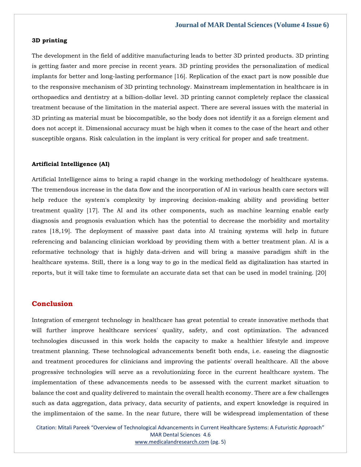# **3D printing**

The development in the field of additive manufacturing leads to better 3D printed products. 3D printing is getting faster and more precise in recent years. 3D printing provides the personalization of medical implants for better and long-lasting performance [16]. Replication of the exact part is now possible due to the responsive mechanism of 3D printing technology. Mainstream implementation in healthcare is in orthopaedics and dentistry at a billion-dollar level. 3D printing cannot completely replace the classical treatment because of the limitation in the material aspect. There are several issues with the material in 3D printing as material must be biocompatible, so the body does not identify it as a foreign element and does not accept it. Dimensional accuracy must be high when it comes to the case of the heart and other susceptible organs. Risk calculation in the implant is very critical for proper and safe treatment.

#### **Artificial Intelligence (AI)**

Artificial Intelligence aims to bring a rapid change in the working methodology of healthcare systems. The tremendous increase in the data flow and the incorporation of AI in various health care sectors will help reduce the system's complexity by improving decision-making ability and providing better treatment quality [17]. The AI and its other components, such as machine learning enable early diagnosis and prognosis evaluation which has the potential to decrease the morbidity and mortality rates [18,19]. The deployment of massive past data into AI training systems will help in future referencing and balancing clinician workload by providing them with a better treatment plan. AI is a reformative technology that is highly data-driven and will bring a massive paradigm shift in the healthcare systems. Still, there is a long way to go in the medical field as digitalization has started in reports, but it will take time to formulate an accurate data set that can be used in model training. [20]

# **Conclusion**

Integration of emergent technology in healthcare has great potential to create innovative methods that will further improve healthcare services' quality, safety, and cost optimization. The advanced technologies discussed in this work holds the capacity to make a healthier lifestyle and improve treatment planning. These technological advancements benefit both ends, i.e. easeing the diagnostic and treatment procedures for clinicians and improving the patients' overall healthcare. All the above progressive technologies will serve as a revolutionizing force in the current healthcare system. The implementation of these advancements needs to be assessed with the current market situation to balance the cost and quality delivered to maintain the overall health economy. There are a few challenges such as data aggregation, data privacy, data security of patients, and expert knowledge is required in the implimentaion of the same. In the near future, there will be widespread implementation of these

Citation: Mitali Pareek "Overview of Technological Advancements in Current Healthcare Systems: A Futuristic Approach" MAR Dental Sciences 4.6 [www.medicalandresearch.com](http://www.medicalandresearch.com/) (pg. 5)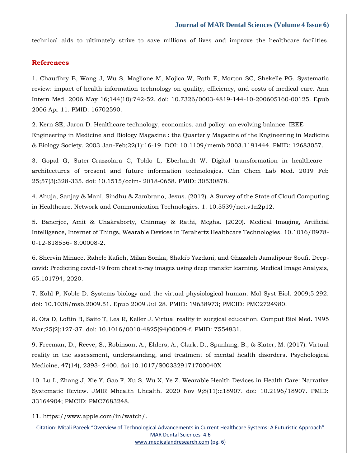#### **Journal of MAR Dental Sciences (Volume 4 Issue 6)**

technical aids to ultimately strive to save millions of lives and improve the healthcare facilities.

# **References**

1. [Chaudhry B, Wang J, Wu S, Maglione M, Mojica W, Roth E, Morton SC, Shekelle PG. Systematic](https://www.google.com/search?q=Systematic+review%3A+impact+of+health+information+technology+on+quality%2C+efficiency%2C+and+costs+of+medical+care&sxsrf=APq-WBv5wchlD7LYlJJkV3vnhnHU0AhyHQ%3A1645167796421&ei=tEQPYtOlGcHC3LUP-JKVyAg&ved=0ahUKEwjTz-fQ14j2AhVBIbcAHXhJBYkQ4dUDCA4&oq=Systematic+review%3A+impact+of+health+information+technology+on+quality%2C+efficiency%2C+and+costs+of+medical+care&gs_lcp=Cgdnd3Mtd2l6EAwyBwgjEOoCECcyBwgjEOoCECcyBwgjEOoCECcyBwgjEOoCECcyBwgjEOoCECcyBwgjEOoCECcyBwgjEOoCECcyBwgjEOoCECcyBwgjEOoCECcyBwgjEOoCECdKBAhBGABKBAhGGABQtgJYtgJglA1oAXABeACAAQCIAQCSAQCYAQCgAQGgAQKwAQrAAQE&sclient=gws-wiz)  [review: impact of health information technology on quality, efficiency, and costs of medical care. Ann](https://www.google.com/search?q=Systematic+review%3A+impact+of+health+information+technology+on+quality%2C+efficiency%2C+and+costs+of+medical+care&sxsrf=APq-WBv5wchlD7LYlJJkV3vnhnHU0AhyHQ%3A1645167796421&ei=tEQPYtOlGcHC3LUP-JKVyAg&ved=0ahUKEwjTz-fQ14j2AhVBIbcAHXhJBYkQ4dUDCA4&oq=Systematic+review%3A+impact+of+health+information+technology+on+quality%2C+efficiency%2C+and+costs+of+medical+care&gs_lcp=Cgdnd3Mtd2l6EAwyBwgjEOoCECcyBwgjEOoCECcyBwgjEOoCECcyBwgjEOoCECcyBwgjEOoCECcyBwgjEOoCECcyBwgjEOoCECcyBwgjEOoCECcyBwgjEOoCECcyBwgjEOoCECdKBAhBGABKBAhGGABQtgJYtgJglA1oAXABeACAAQCIAQCSAQCYAQCgAQGgAQKwAQrAAQE&sclient=gws-wiz)  [Intern Med. 2006 May 16;144\(10\):742-52. doi: 10.7326/0003-4819-144-10-200605160-00125. Epub](https://www.google.com/search?q=Systematic+review%3A+impact+of+health+information+technology+on+quality%2C+efficiency%2C+and+costs+of+medical+care&sxsrf=APq-WBv5wchlD7LYlJJkV3vnhnHU0AhyHQ%3A1645167796421&ei=tEQPYtOlGcHC3LUP-JKVyAg&ved=0ahUKEwjTz-fQ14j2AhVBIbcAHXhJBYkQ4dUDCA4&oq=Systematic+review%3A+impact+of+health+information+technology+on+quality%2C+efficiency%2C+and+costs+of+medical+care&gs_lcp=Cgdnd3Mtd2l6EAwyBwgjEOoCECcyBwgjEOoCECcyBwgjEOoCECcyBwgjEOoCECcyBwgjEOoCECcyBwgjEOoCECcyBwgjEOoCECcyBwgjEOoCECcyBwgjEOoCECcyBwgjEOoCECdKBAhBGABKBAhGGABQtgJYtgJglA1oAXABeACAAQCIAQCSAQCYAQCgAQGgAQKwAQrAAQE&sclient=gws-wiz)  [2006 Apr 11. PMID: 16702590.](https://www.google.com/search?q=Systematic+review%3A+impact+of+health+information+technology+on+quality%2C+efficiency%2C+and+costs+of+medical+care&sxsrf=APq-WBv5wchlD7LYlJJkV3vnhnHU0AhyHQ%3A1645167796421&ei=tEQPYtOlGcHC3LUP-JKVyAg&ved=0ahUKEwjTz-fQ14j2AhVBIbcAHXhJBYkQ4dUDCA4&oq=Systematic+review%3A+impact+of+health+information+technology+on+quality%2C+efficiency%2C+and+costs+of+medical+care&gs_lcp=Cgdnd3Mtd2l6EAwyBwgjEOoCECcyBwgjEOoCECcyBwgjEOoCECcyBwgjEOoCECcyBwgjEOoCECcyBwgjEOoCECcyBwgjEOoCECcyBwgjEOoCECcyBwgjEOoCECcyBwgjEOoCECdKBAhBGABKBAhGGABQtgJYtgJglA1oAXABeACAAQCIAQCSAQCYAQCgAQGgAQKwAQrAAQE&sclient=gws-wiz)

2. [Kern SE, Jaron D. Healthcare technology, economics, and policy: an evolving balance. IEEE](https://www.google.com/search?q=IEEE+Engineering+in+Medicine+and+Biology+Magazine+%3A+the+Quarterly+Magazine+of+the+Engineering+in+Medicine+%26+Biology+Society&sxsrf=APq-WBspm5GBdOJ9h7ywculuJ2kFkZsPQw%3A1645182000533&ei=MHwPYpHqH8WVseMPq7uY-AE&ved=0ahUKEwiRwu3FjIn2AhXFSmwGHasdBh8Q4dUDCA4&oq=IEEE+Engineering+in+Medicine+and+Biology+Magazine+%3A+the+Quarterly+Magazine+of+the+Engineering+in+Medicine+%26+Biology+Society&gs_lcp=Cgdnd3Mtd2l6EAwyBwgjEOoCECcyBwgjEOoCECcyBwgjEOoCECcyBwgjEOoCECcyBwgjEOoCECcyBwgjEOoCECcyBwgjEOoCECcyBwgjEOoCECcyBwgjEOoCECcyBwgjEOoCECdKBAhBGABKBAhGGABQ-wRY-wRgoQtoAXABeACAAQCIAQCSAQCYAQCgAQGgAQKwAQrAAQE&sclient=gws-wiz)  [Engineering in Medicine and Biology Magazine : the Quarterly Magazine of the Engineering in Medicine](https://www.google.com/search?q=IEEE+Engineering+in+Medicine+and+Biology+Magazine+%3A+the+Quarterly+Magazine+of+the+Engineering+in+Medicine+%26+Biology+Society&sxsrf=APq-WBspm5GBdOJ9h7ywculuJ2kFkZsPQw%3A1645182000533&ei=MHwPYpHqH8WVseMPq7uY-AE&ved=0ahUKEwiRwu3FjIn2AhXFSmwGHasdBh8Q4dUDCA4&oq=IEEE+Engineering+in+Medicine+and+Biology+Magazine+%3A+the+Quarterly+Magazine+of+the+Engineering+in+Medicine+%26+Biology+Society&gs_lcp=Cgdnd3Mtd2l6EAwyBwgjEOoCECcyBwgjEOoCECcyBwgjEOoCECcyBwgjEOoCECcyBwgjEOoCECcyBwgjEOoCECcyBwgjEOoCECcyBwgjEOoCECcyBwgjEOoCECcyBwgjEOoCECdKBAhBGABKBAhGGABQ-wRY-wRgoQtoAXABeACAAQCIAQCSAQCYAQCgAQGgAQKwAQrAAQE&sclient=gws-wiz)  [& Biology Society. 2003 Jan-Feb;22\(1\):16-19. DOI: 10.1109/memb.2003.1191444. PMID: 12683057.](https://www.google.com/search?q=IEEE+Engineering+in+Medicine+and+Biology+Magazine+%3A+the+Quarterly+Magazine+of+the+Engineering+in+Medicine+%26+Biology+Society&sxsrf=APq-WBspm5GBdOJ9h7ywculuJ2kFkZsPQw%3A1645182000533&ei=MHwPYpHqH8WVseMPq7uY-AE&ved=0ahUKEwiRwu3FjIn2AhXFSmwGHasdBh8Q4dUDCA4&oq=IEEE+Engineering+in+Medicine+and+Biology+Magazine+%3A+the+Quarterly+Magazine+of+the+Engineering+in+Medicine+%26+Biology+Society&gs_lcp=Cgdnd3Mtd2l6EAwyBwgjEOoCECcyBwgjEOoCECcyBwgjEOoCECcyBwgjEOoCECcyBwgjEOoCECcyBwgjEOoCECcyBwgjEOoCECcyBwgjEOoCECcyBwgjEOoCECcyBwgjEOoCECdKBAhBGABKBAhGGABQ-wRY-wRgoQtoAXABeACAAQCIAQCSAQCYAQCgAQGgAQKwAQrAAQE&sclient=gws-wiz)

3. [Gopal G, Suter-Crazzolara C, Toldo L, Eberhardt W. Digital transformation in healthcare](https://www.google.com/search?q=Digital+transformation+in+healthcare+-+architectures+of+present+and+future+information+technologies&sxsrf=APq-WBurOzH6a1lgmxREHsrZ4f1ZVTDbUQ%3A1645182364400&ei=nH0PYq66F6-XseMPy96N2AI&ved=0ahUKEwiu-K3zjYn2AhWvS2wGHUtvAysQ4dUDCA4&oq=Digital+transformation+in+healthcare+-+architectures+of+present+and+future+information+technologies&gs_lcp=Cgdnd3Mtd2l6EAwyBAgAEB46BwgjEOoCECdKBAhBGABKBAhGGABQoghYoghg9QtoAXABeACAAaYBiAGmAZIBAzAuMZgBAKABAaABArABCsABAQ&sclient=gws-wiz)  [architectures of present and future information technologies. Clin Chem Lab Med. 2019 Feb](https://www.google.com/search?q=Digital+transformation+in+healthcare+-+architectures+of+present+and+future+information+technologies&sxsrf=APq-WBurOzH6a1lgmxREHsrZ4f1ZVTDbUQ%3A1645182364400&ei=nH0PYq66F6-XseMPy96N2AI&ved=0ahUKEwiu-K3zjYn2AhWvS2wGHUtvAysQ4dUDCA4&oq=Digital+transformation+in+healthcare+-+architectures+of+present+and+future+information+technologies&gs_lcp=Cgdnd3Mtd2l6EAwyBAgAEB46BwgjEOoCECdKBAhBGABKBAhGGABQoghYoghg9QtoAXABeACAAaYBiAGmAZIBAzAuMZgBAKABAaABArABCsABAQ&sclient=gws-wiz)  [25;57\(3\):328-335. doi: 10.1515/cclm-](https://www.google.com/search?q=Digital+transformation+in+healthcare+-+architectures+of+present+and+future+information+technologies&sxsrf=APq-WBurOzH6a1lgmxREHsrZ4f1ZVTDbUQ%3A1645182364400&ei=nH0PYq66F6-XseMPy96N2AI&ved=0ahUKEwiu-K3zjYn2AhWvS2wGHUtvAysQ4dUDCA4&oq=Digital+transformation+in+healthcare+-+architectures+of+present+and+future+information+technologies&gs_lcp=Cgdnd3Mtd2l6EAwyBAgAEB46BwgjEOoCECdKBAhBGABKBAhGGABQoghYoghg9QtoAXABeACAAaYBiAGmAZIBAzAuMZgBAKABAaABArABCsABAQ&sclient=gws-wiz) 2018-0658. PMID: 30530878.

4. [Ahuja, Sanjay & Mani, Sindhu & Zambrano, Jesus. \(2012\). A Survey of the State of Cloud Computing](https://www.google.com/search?q=A+Survey+of+the+State+of+Cloud+Computing+in+Healthcare.+Network+and+Communication+Technologies&sxsrf=APq-WBuBtHtZvQ8vJOBfFc_QsFXhCIVVlA%3A1645182457728&ei=-X0PYpfbK-OdseMPmO-dwAE&ved=0ahUKEwjXu-6fjon2AhXjTmwGHZh3BxgQ4dUDCA4&oq=A+Survey+of+the+State+of+Cloud+Computing+in+Healthcare.+Network+and+Communication+Technologies&gs_lcp=Cgdnd3Mtd2l6EAw6BwgjEOoCECdKBAhBGABKBAhGGABQIlgiYIcGaAFwAXgAgAGYAYgBmAGSAQMwLjGYAQCgAQGgAQKwAQrAAQE&sclient=gws-wiz)  [in Healthcare. Network and Communication Technologies. 1. 10.5539/nct.v1n2p12.](https://www.google.com/search?q=A+Survey+of+the+State+of+Cloud+Computing+in+Healthcare.+Network+and+Communication+Technologies&sxsrf=APq-WBuBtHtZvQ8vJOBfFc_QsFXhCIVVlA%3A1645182457728&ei=-X0PYpfbK-OdseMPmO-dwAE&ved=0ahUKEwjXu-6fjon2AhXjTmwGHZh3BxgQ4dUDCA4&oq=A+Survey+of+the+State+of+Cloud+Computing+in+Healthcare.+Network+and+Communication+Technologies&gs_lcp=Cgdnd3Mtd2l6EAw6BwgjEOoCECdKBAhBGABKBAhGGABQIlgiYIcGaAFwAXgAgAGYAYgBmAGSAQMwLjGYAQCgAQGgAQKwAQrAAQE&sclient=gws-wiz)

5. [Banerjee, Amit & Chakraborty, Chinmay & Rathi, Megha. \(2020\). Medical Imaging, Artificial](https://www.google.com/search?q=Medical+Imaging%2C+Artificial+Intelligence%2C+Internet+of+Things%2C+Wearable+Devices+in+Terahertz+Healthcare+Technologies&sxsrf=APq-WBvXEeMgIzU0YY1K37a3829nQa3TuA%3A1645182473897&ei=CX4PYtijNqSSseMPpIqRkA0&ved=0ahUKEwiYzMmnjon2AhUkSWwGHSRFBNIQ4dUDCA4&oq=Medical+Imaging%2C+Artificial+Intelligence%2C+Internet+of+Things%2C+Wearable+Devices+in+Terahertz+Healthcare+Technologies&gs_lcp=Cgdnd3Mtd2l6EAwyBwgjEOoCECcyBwgjEOoCECcyBwgjEOoCECcyBwgjEOoCECcyBwgjEOoCECcyBwgjEOoCECcyBwgjEOoCECcyBwgjEOoCECcyBwgjEOoCECcyBwgjEOoCECdKBAhBGABKBAhGGABQqQRYqQRgoQpoAXABeACAAQCIAQCSAQCYAQCgAQGgAQKwAQrAAQE&sclient=gws-wiz)  [Intelligence, Internet of Things, Wearable Devices in Terahertz Healthcare Technologies. 10.1016/B978-](https://www.google.com/search?q=Medical+Imaging%2C+Artificial+Intelligence%2C+Internet+of+Things%2C+Wearable+Devices+in+Terahertz+Healthcare+Technologies&sxsrf=APq-WBvXEeMgIzU0YY1K37a3829nQa3TuA%3A1645182473897&ei=CX4PYtijNqSSseMPpIqRkA0&ved=0ahUKEwiYzMmnjon2AhUkSWwGHSRFBNIQ4dUDCA4&oq=Medical+Imaging%2C+Artificial+Intelligence%2C+Internet+of+Things%2C+Wearable+Devices+in+Terahertz+Healthcare+Technologies&gs_lcp=Cgdnd3Mtd2l6EAwyBwgjEOoCECcyBwgjEOoCECcyBwgjEOoCECcyBwgjEOoCECcyBwgjEOoCECcyBwgjEOoCECcyBwgjEOoCECcyBwgjEOoCECcyBwgjEOoCECcyBwgjEOoCECdKBAhBGABKBAhGGABQqQRYqQRgoQpoAXABeACAAQCIAQCSAQCYAQCgAQGgAQKwAQrAAQE&sclient=gws-wiz) [0-12-818556-](https://www.google.com/search?q=Medical+Imaging%2C+Artificial+Intelligence%2C+Internet+of+Things%2C+Wearable+Devices+in+Terahertz+Healthcare+Technologies&sxsrf=APq-WBvXEeMgIzU0YY1K37a3829nQa3TuA%3A1645182473897&ei=CX4PYtijNqSSseMPpIqRkA0&ved=0ahUKEwiYzMmnjon2AhUkSWwGHSRFBNIQ4dUDCA4&oq=Medical+Imaging%2C+Artificial+Intelligence%2C+Internet+of+Things%2C+Wearable+Devices+in+Terahertz+Healthcare+Technologies&gs_lcp=Cgdnd3Mtd2l6EAwyBwgjEOoCECcyBwgjEOoCECcyBwgjEOoCECcyBwgjEOoCECcyBwgjEOoCECcyBwgjEOoCECcyBwgjEOoCECcyBwgjEOoCECcyBwgjEOoCECcyBwgjEOoCECdKBAhBGABKBAhGGABQqQRYqQRgoQpoAXABeACAAQCIAQCSAQCYAQCgAQGgAQKwAQrAAQE&sclient=gws-wiz) 8.00008-2.

6. [Shervin Minaee, Rahele Kafieh, Milan Sonka, Shakib Yazdani, and Ghazaleh Jamalipour Soufi. Deep](https://www.google.com/search?q=Predicting+covid-19+from+chest+x-ray+images+using+deep+transfer+learning&sxsrf=APq-WBsZj_tGalXUrMqA6Uq6Chh4YdmQpA%3A1645182490875&ei=Gn4PYufqNNSQseMPzKyB-AU&ved=0ahUKEwjn39Wvjon2AhVUSGwGHUxWAF8Q4dUDCA4&oq=Predicting+covid-19+from+chest+x-ray+images+using+deep+transfer+learning&gs_lcp=Cgdnd3Mtd2l6EAw6BwgjEOoCECdKBAhBGABKBAhGGABQ9ANY9ANg4QpoAXAAeACAAb8EiAG_BJIBAzUtMZgBAKABAaABArABCsABAQ&sclient=gws-wiz)[covid: Predicting covid-19 from chest x-ray images using deep transfer learning. Medical Image Analysis,](https://www.google.com/search?q=Predicting+covid-19+from+chest+x-ray+images+using+deep+transfer+learning&sxsrf=APq-WBsZj_tGalXUrMqA6Uq6Chh4YdmQpA%3A1645182490875&ei=Gn4PYufqNNSQseMPzKyB-AU&ved=0ahUKEwjn39Wvjon2AhVUSGwGHUxWAF8Q4dUDCA4&oq=Predicting+covid-19+from+chest+x-ray+images+using+deep+transfer+learning&gs_lcp=Cgdnd3Mtd2l6EAw6BwgjEOoCECdKBAhBGABKBAhGGABQ9ANY9ANg4QpoAXAAeACAAb8EiAG_BJIBAzUtMZgBAKABAaABArABCsABAQ&sclient=gws-wiz)  [65:101794, 2020.](https://www.google.com/search?q=Predicting+covid-19+from+chest+x-ray+images+using+deep+transfer+learning&sxsrf=APq-WBsZj_tGalXUrMqA6Uq6Chh4YdmQpA%3A1645182490875&ei=Gn4PYufqNNSQseMPzKyB-AU&ved=0ahUKEwjn39Wvjon2AhVUSGwGHUxWAF8Q4dUDCA4&oq=Predicting+covid-19+from+chest+x-ray+images+using+deep+transfer+learning&gs_lcp=Cgdnd3Mtd2l6EAw6BwgjEOoCECdKBAhBGABKBAhGGABQ9ANY9ANg4QpoAXAAeACAAb8EiAG_BJIBAzUtMZgBAKABAaABArABCsABAQ&sclient=gws-wiz)

7. [Kohl P, Noble D. Systems biology and the virtual physiological human. Mol Syst Biol. 2009;5:292.](https://www.google.com/search?q=Systems+biology+and+the+virtual+physiological+human&sxsrf=APq-WBsrtTdsJlVEp57Q_cbusiut8dfqSg%3A1645182519789&ei=N34PYsDGLr6fseMPiISPuAc&ved=0ahUKEwiAvrm9jon2AhW-T2wGHQjCA3cQ4dUDCA4&oq=Systems+biology+and+the+virtual+physiological+human&gs_lcp=Cgdnd3Mtd2l6EAwyCAghEBYQHRAeOgcIIxDqAhAnSgQIQRgASgQIRhgAUKgIWKgIYJMMaAFwAXgAgAGFAogBhQKSAQMyLTGYAQCgAQGgAQKwAQrAAQE&sclient=gws-wiz)  [doi: 10.1038/msb.2009.51. Epub 2009 Jul 28. PMID: 19638973; PMCID: PMC2724980.](https://www.google.com/search?q=Systems+biology+and+the+virtual+physiological+human&sxsrf=APq-WBsrtTdsJlVEp57Q_cbusiut8dfqSg%3A1645182519789&ei=N34PYsDGLr6fseMPiISPuAc&ved=0ahUKEwiAvrm9jon2AhW-T2wGHQjCA3cQ4dUDCA4&oq=Systems+biology+and+the+virtual+physiological+human&gs_lcp=Cgdnd3Mtd2l6EAwyCAghEBYQHRAeOgcIIxDqAhAnSgQIQRgASgQIRhgAUKgIWKgIYJMMaAFwAXgAgAGFAogBhQKSAQMyLTGYAQCgAQGgAQKwAQrAAQE&sclient=gws-wiz)

8. [Ota D, Loftin B, Saito T, Lea R, Keller J. Virtual reality in surgical education. Comput Biol Med. 1995](https://www.google.com/search?q=Virtual+reality+in+surgical+education&sxsrf=APq-WBs97spf3aLWUlbW7KiV9gsw-fmPTg%3A1645182535169&ei=R34PYsHMCa6XseMPxtuy2A4&ved=0ahUKEwiBjOXEjon2AhWuS2wGHcatDOsQ4dUDCA4&oq=Virtual+reality+in+surgical+education&gs_lcp=Cgdnd3Mtd2l6EAwyBggAEBYQHjIGCAAQFhAeOgcIIxDqAhAnSgQIQRgASgQIRhgAUPAEWPAEYIkLaAFwAHgAgAHtAogB7QKSAQMzLTGYAQCgAQGgAQKwAQrAAQE&sclient=gws-wiz)  [Mar;25\(2\):127-37. doi: 10.1016/0010-4825\(94\)00009-f. PMID: 7554831.](https://www.google.com/search?q=Virtual+reality+in+surgical+education&sxsrf=APq-WBs97spf3aLWUlbW7KiV9gsw-fmPTg%3A1645182535169&ei=R34PYsHMCa6XseMPxtuy2A4&ved=0ahUKEwiBjOXEjon2AhWuS2wGHcatDOsQ4dUDCA4&oq=Virtual+reality+in+surgical+education&gs_lcp=Cgdnd3Mtd2l6EAwyBggAEBYQHjIGCAAQFhAeOgcIIxDqAhAnSgQIQRgASgQIRhgAUPAEWPAEYIkLaAFwAHgAgAHtAogB7QKSAQMzLTGYAQCgAQGgAQKwAQrAAQE&sclient=gws-wiz)

9. [Freeman, D., Reeve, S., Robinson, A., Ehlers, A., Clark, D., Spanlang, B., & Slater, M. \(2017\). Virtual](https://www.google.com/search?q=Virtual+reality+in+the+assessment%2C+understanding%2C+and+treatment+of+mental+health+disorders&sxsrf=APq-WBsbqolKtj2E8kJisw9qOktplHT7ZA%3A1645182550491&ei=Vn4PYv6iHdOUseMPs8u3kA0&ved=0ahUKEwj-pYzMjon2AhVTSmwGHbPlDdIQ4dUDCA4&oq=Virtual+reality+in+the+assessment%2C+understanding%2C+and+treatment+of+mental+health+disorders&gs_lcp=Cgdnd3Mtd2l6EAwyBQguEIAEOgcIIxDqAhAnSgQIQRgASgQIRhgAULAKWLAKYK8PaAJwAXgAgAGSAYgBkgGSAQMwLjGYAQCgAQGgAQKwAQrAAQE&sclient=gws-wiz)  [reality in the assessment, understanding, and treatment of](https://www.google.com/search?q=Virtual+reality+in+the+assessment%2C+understanding%2C+and+treatment+of+mental+health+disorders&sxsrf=APq-WBsbqolKtj2E8kJisw9qOktplHT7ZA%3A1645182550491&ei=Vn4PYv6iHdOUseMPs8u3kA0&ved=0ahUKEwj-pYzMjon2AhVTSmwGHbPlDdIQ4dUDCA4&oq=Virtual+reality+in+the+assessment%2C+understanding%2C+and+treatment+of+mental+health+disorders&gs_lcp=Cgdnd3Mtd2l6EAwyBQguEIAEOgcIIxDqAhAnSgQIQRgASgQIRhgAULAKWLAKYK8PaAJwAXgAgAGSAYgBkgGSAQMwLjGYAQCgAQGgAQKwAQrAAQE&sclient=gws-wiz) mental health disorders. Psychological Medicine, 47(14), 2393- [2400. doi:10.1017/S003329171700040X](https://www.google.com/search?q=Virtual+reality+in+the+assessment%2C+understanding%2C+and+treatment+of+mental+health+disorders&sxsrf=APq-WBsbqolKtj2E8kJisw9qOktplHT7ZA%3A1645182550491&ei=Vn4PYv6iHdOUseMPs8u3kA0&ved=0ahUKEwj-pYzMjon2AhVTSmwGHbPlDdIQ4dUDCA4&oq=Virtual+reality+in+the+assessment%2C+understanding%2C+and+treatment+of+mental+health+disorders&gs_lcp=Cgdnd3Mtd2l6EAwyBQguEIAEOgcIIxDqAhAnSgQIQRgASgQIRhgAULAKWLAKYK8PaAJwAXgAgAGSAYgBkgGSAQMwLjGYAQCgAQGgAQKwAQrAAQE&sclient=gws-wiz)

10. [Lu L, Zhang J, Xie Y, Gao F, Xu S, Wu X, Ye Z. Wearable Health Devices in Health Care: Narrative](https://www.google.com/search?q=Wearable+Health+Devices+in+Health+Care%3A+Narrative+Systematic+Review.&sxsrf=APq-WBvj1SAUW-qS4UVZ1-DhsmCK-q80ow%3A1645182584509&ei=eH4PYrqqHsybseMPmtGFoAc&ved=0ahUKEwi6xqjcjon2AhXMTWwGHZpoAXQQ4dUDCA4&oq=Wearable+Health+Devices+in+Health+Care%3A+Narrative+Systematic+Review.&gs_lcp=Cgdnd3Mtd2l6EAwyBggAEBYQHjoHCCMQ6gIQJ0oECEEYAEoECEYYAFC3BFi3BGD4C2gBcAF4AIAB7AWIAewFkgEDNi0xmAEAoAEBoAECsAEKwAEB&sclient=gws-wiz)  [Systematic Review. JMIR Mhealth Uhealth. 2020 Nov 9;8\(11\):e18907. doi: 10.2196/18907. PMID:](https://www.google.com/search?q=Wearable+Health+Devices+in+Health+Care%3A+Narrative+Systematic+Review.&sxsrf=APq-WBvj1SAUW-qS4UVZ1-DhsmCK-q80ow%3A1645182584509&ei=eH4PYrqqHsybseMPmtGFoAc&ved=0ahUKEwi6xqjcjon2AhXMTWwGHZpoAXQQ4dUDCA4&oq=Wearable+Health+Devices+in+Health+Care%3A+Narrative+Systematic+Review.&gs_lcp=Cgdnd3Mtd2l6EAwyBggAEBYQHjoHCCMQ6gIQJ0oECEEYAEoECEYYAFC3BFi3BGD4C2gBcAF4AIAB7AWIAewFkgEDNi0xmAEAoAEBoAECsAEKwAEB&sclient=gws-wiz)  [33164904; PMCID: PMC7683248.](https://www.google.com/search?q=Wearable+Health+Devices+in+Health+Care%3A+Narrative+Systematic+Review.&sxsrf=APq-WBvj1SAUW-qS4UVZ1-DhsmCK-q80ow%3A1645182584509&ei=eH4PYrqqHsybseMPmtGFoAc&ved=0ahUKEwi6xqjcjon2AhXMTWwGHZpoAXQQ4dUDCA4&oq=Wearable+Health+Devices+in+Health+Care%3A+Narrative+Systematic+Review.&gs_lcp=Cgdnd3Mtd2l6EAwyBggAEBYQHjoHCCMQ6gIQJ0oECEEYAEoECEYYAFC3BFi3BGD4C2gBcAF4AIAB7AWIAewFkgEDNi0xmAEAoAEBoAECsAEKwAEB&sclient=gws-wiz)

11. [https://www.apple.com/in/watch/.](file:///C:/Users/Arief%20Mahimudh/Desktop/11.%20https:/www.apple.com/in/watch/)

Citation: Mitali Pareek "Overview of Technological Advancements in Current Healthcare Systems: A Futuristic Approach" MAR Dental Sciences 4.6 [www.medicalandresearch.com](http://www.medicalandresearch.com/) (pg. 6)